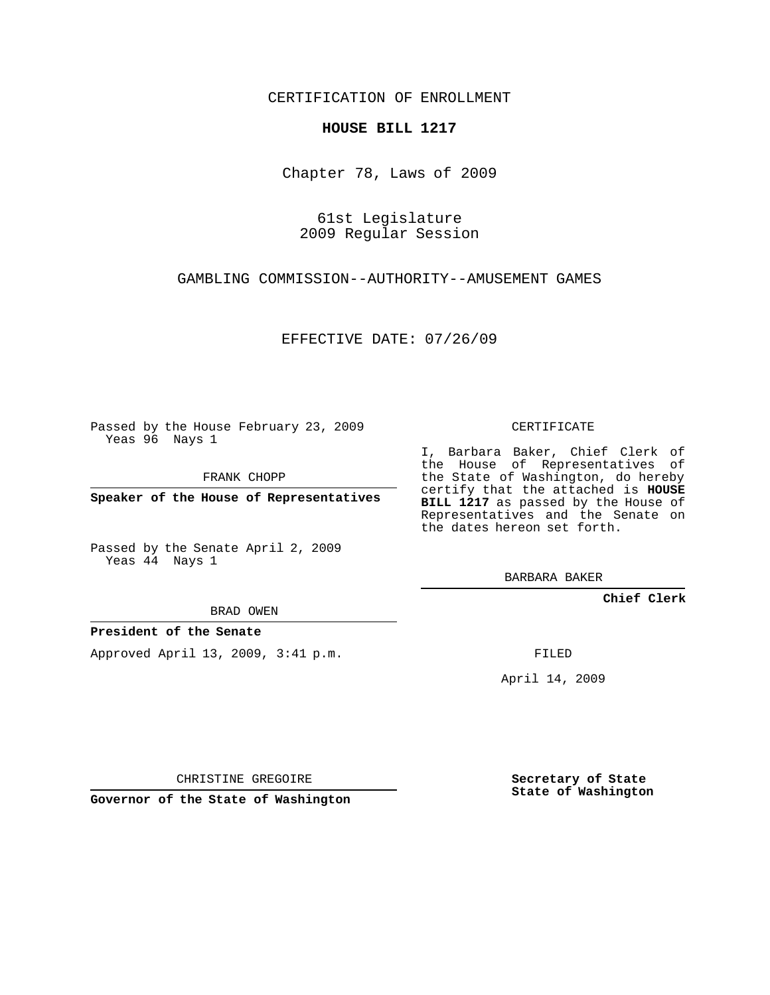CERTIFICATION OF ENROLLMENT

## **HOUSE BILL 1217**

Chapter 78, Laws of 2009

61st Legislature 2009 Regular Session

GAMBLING COMMISSION--AUTHORITY--AMUSEMENT GAMES

EFFECTIVE DATE: 07/26/09

Passed by the House February 23, 2009 Yeas 96 Nays 1

FRANK CHOPP

**Speaker of the House of Representatives**

Passed by the Senate April 2, 2009 Yeas 44 Nays 1

BRAD OWEN

## **President of the Senate**

Approved April 13, 2009, 3:41 p.m.

CERTIFICATE

I, Barbara Baker, Chief Clerk of the House of Representatives of the State of Washington, do hereby certify that the attached is **HOUSE BILL 1217** as passed by the House of Representatives and the Senate on the dates hereon set forth.

BARBARA BAKER

**Chief Clerk**

FILED

April 14, 2009

CHRISTINE GREGOIRE

**Governor of the State of Washington**

**Secretary of State State of Washington**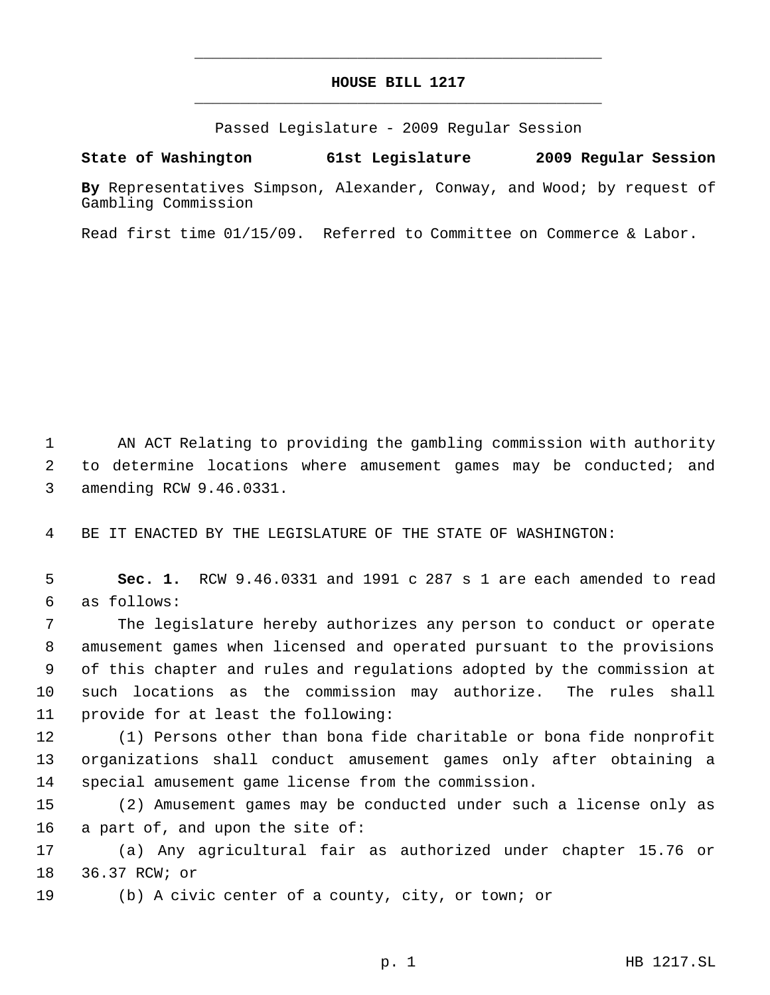## **HOUSE BILL 1217** \_\_\_\_\_\_\_\_\_\_\_\_\_\_\_\_\_\_\_\_\_\_\_\_\_\_\_\_\_\_\_\_\_\_\_\_\_\_\_\_\_\_\_\_\_

\_\_\_\_\_\_\_\_\_\_\_\_\_\_\_\_\_\_\_\_\_\_\_\_\_\_\_\_\_\_\_\_\_\_\_\_\_\_\_\_\_\_\_\_\_

Passed Legislature - 2009 Regular Session

## **State of Washington 61st Legislature 2009 Regular Session**

**By** Representatives Simpson, Alexander, Conway, and Wood; by request of Gambling Commission

Read first time 01/15/09. Referred to Committee on Commerce & Labor.

 AN ACT Relating to providing the gambling commission with authority to determine locations where amusement games may be conducted; and amending RCW 9.46.0331.

BE IT ENACTED BY THE LEGISLATURE OF THE STATE OF WASHINGTON:

 **Sec. 1.** RCW 9.46.0331 and 1991 c 287 s 1 are each amended to read as follows:

 The legislature hereby authorizes any person to conduct or operate amusement games when licensed and operated pursuant to the provisions of this chapter and rules and regulations adopted by the commission at such locations as the commission may authorize. The rules shall provide for at least the following:

 (1) Persons other than bona fide charitable or bona fide nonprofit organizations shall conduct amusement games only after obtaining a special amusement game license from the commission.

 (2) Amusement games may be conducted under such a license only as a part of, and upon the site of:

 (a) Any agricultural fair as authorized under chapter 15.76 or 36.37 RCW; or

(b) A civic center of a county, city, or town; or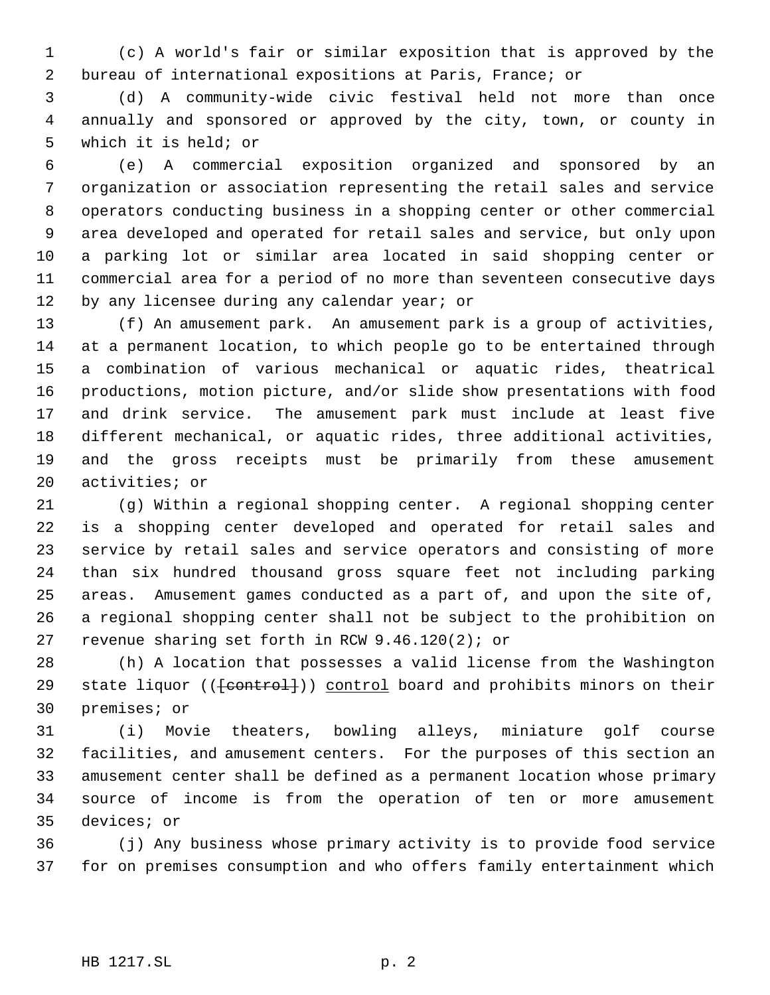(c) A world's fair or similar exposition that is approved by the bureau of international expositions at Paris, France; or

 (d) A community-wide civic festival held not more than once annually and sponsored or approved by the city, town, or county in which it is held; or

 (e) A commercial exposition organized and sponsored by an organization or association representing the retail sales and service operators conducting business in a shopping center or other commercial area developed and operated for retail sales and service, but only upon a parking lot or similar area located in said shopping center or commercial area for a period of no more than seventeen consecutive days 12 by any licensee during any calendar year; or

 (f) An amusement park. An amusement park is a group of activities, at a permanent location, to which people go to be entertained through a combination of various mechanical or aquatic rides, theatrical productions, motion picture, and/or slide show presentations with food and drink service. The amusement park must include at least five different mechanical, or aquatic rides, three additional activities, and the gross receipts must be primarily from these amusement activities; or

 (g) Within a regional shopping center. A regional shopping center is a shopping center developed and operated for retail sales and service by retail sales and service operators and consisting of more than six hundred thousand gross square feet not including parking areas. Amusement games conducted as a part of, and upon the site of, a regional shopping center shall not be subject to the prohibition on revenue sharing set forth in RCW 9.46.120(2); or

 (h) A location that possesses a valid license from the Washington 29 state liquor (( $\{content})$ ) control board and prohibits minors on their premises; or

 (i) Movie theaters, bowling alleys, miniature golf course facilities, and amusement centers. For the purposes of this section an amusement center shall be defined as a permanent location whose primary source of income is from the operation of ten or more amusement devices; or

 (j) Any business whose primary activity is to provide food service for on premises consumption and who offers family entertainment which